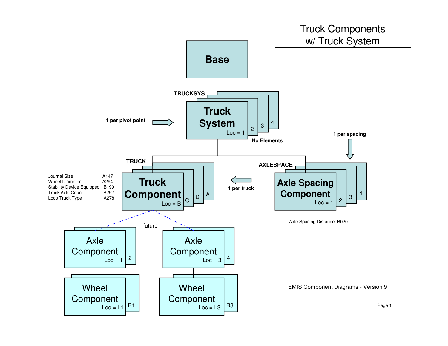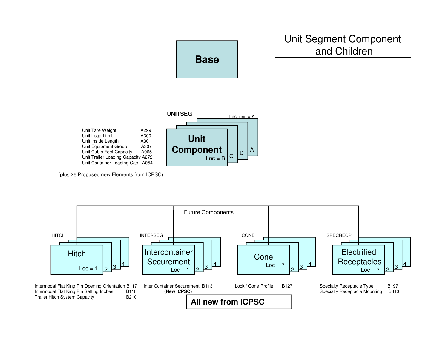